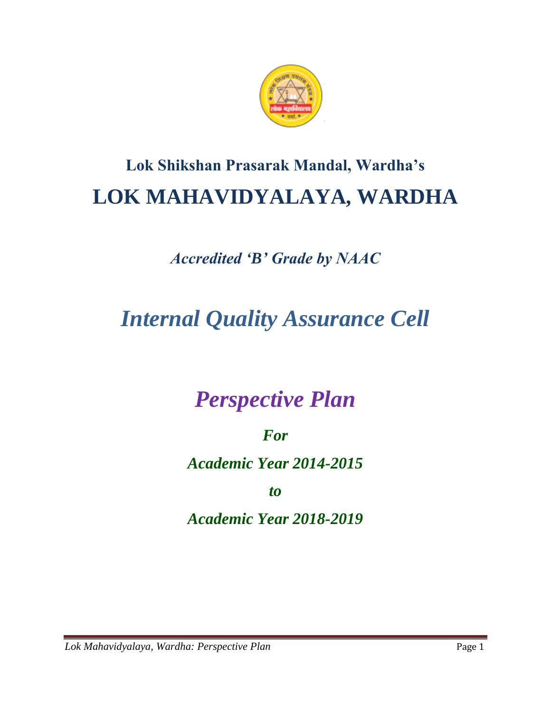

# **Lok Shikshan Prasarak Mandal, Wardha's LOK MAHAVIDYALAYA, WARDHA**

# *Accredited 'B' Grade by NAAC*

# *Internal Quality Assurance Cell*

# *Perspective Plan*

### *For*

### *Academic Year 2014-2015*

### *to*

### *Academic Year 2018-2019*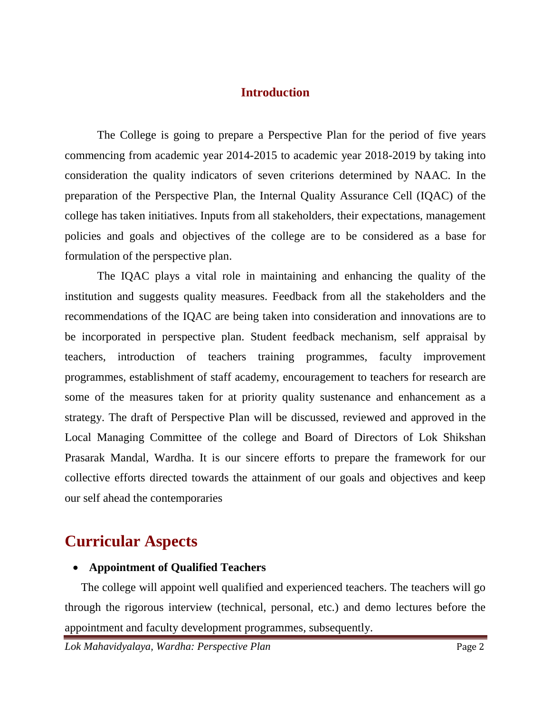#### **Introduction**

The College is going to prepare a Perspective Plan for the period of five years commencing from academic year 2014-2015 to academic year 2018-2019 by taking into consideration the quality indicators of seven criterions determined by NAAC. In the preparation of the Perspective Plan, the Internal Quality Assurance Cell (IQAC) of the college has taken initiatives. Inputs from all stakeholders, their expectations, management policies and goals and objectives of the college are to be considered as a base for formulation of the perspective plan.

The IQAC plays a vital role in maintaining and enhancing the quality of the institution and suggests quality measures. Feedback from all the stakeholders and the recommendations of the IQAC are being taken into consideration and innovations are to be incorporated in perspective plan. Student feedback mechanism, self appraisal by teachers, introduction of teachers training programmes, faculty improvement programmes, establishment of staff academy, encouragement to teachers for research are some of the measures taken for at priority quality sustenance and enhancement as a strategy. The draft of Perspective Plan will be discussed, reviewed and approved in the Local Managing Committee of the college and Board of Directors of Lok Shikshan Prasarak Mandal, Wardha. It is our sincere efforts to prepare the framework for our collective efforts directed towards the attainment of our goals and objectives and keep our self ahead the contemporaries

### **Curricular Aspects**

#### **Appointment of Qualified Teachers**

The college will appoint well qualified and experienced teachers. The teachers will go through the rigorous interview (technical, personal, etc.) and demo lectures before the appointment and faculty development programmes, subsequently.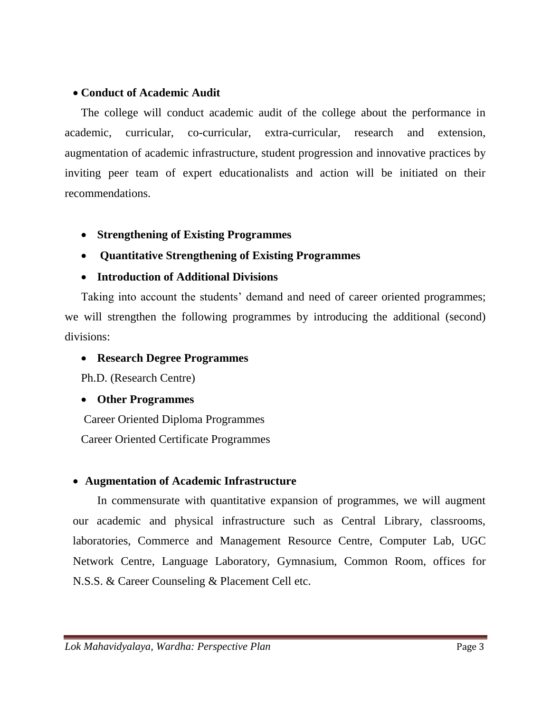#### **Conduct of Academic Audit**

The college will conduct academic audit of the college about the performance in academic, curricular, co-curricular, extra-curricular, research and extension, augmentation of academic infrastructure, student progression and innovative practices by inviting peer team of expert educationalists and action will be initiated on their recommendations.

- **Strengthening of Existing Programmes**
- **Quantitative Strengthening of Existing Programmes**
- **Introduction of Additional Divisions**

Taking into account the students' demand and need of career oriented programmes; we will strengthen the following programmes by introducing the additional (second) divisions:

#### **Research Degree Programmes**

Ph.D. (Research Centre)

#### **Other Programmes**

Career Oriented Diploma Programmes Career Oriented Certificate Programmes

#### **Augmentation of Academic Infrastructure**

In commensurate with quantitative expansion of programmes, we will augment our academic and physical infrastructure such as Central Library, classrooms, laboratories, Commerce and Management Resource Centre, Computer Lab, UGC Network Centre, Language Laboratory, Gymnasium, Common Room, offices for N.S.S. & Career Counseling & Placement Cell etc.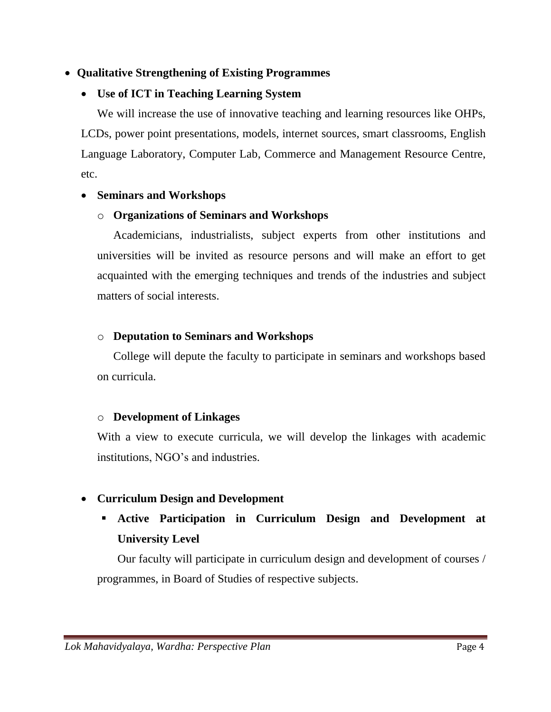#### **Qualitative Strengthening of Existing Programmes**

#### **Use of ICT in Teaching Learning System**

We will increase the use of innovative teaching and learning resources like OHPs, LCDs, power point presentations, models, internet sources, smart classrooms, English Language Laboratory, Computer Lab, Commerce and Management Resource Centre, etc.

#### **Seminars and Workshops**

#### o **Organizations of Seminars and Workshops**

Academicians, industrialists, subject experts from other institutions and universities will be invited as resource persons and will make an effort to get acquainted with the emerging techniques and trends of the industries and subject matters of social interests.

#### o **Deputation to Seminars and Workshops**

College will depute the faculty to participate in seminars and workshops based on curricula.

#### o **Development of Linkages**

With a view to execute curricula, we will develop the linkages with academic institutions, NGO's and industries.

#### **Curriculum Design and Development**

 **Active Participation in Curriculum Design and Development at University Level**

Our faculty will participate in curriculum design and development of courses / programmes, in Board of Studies of respective subjects.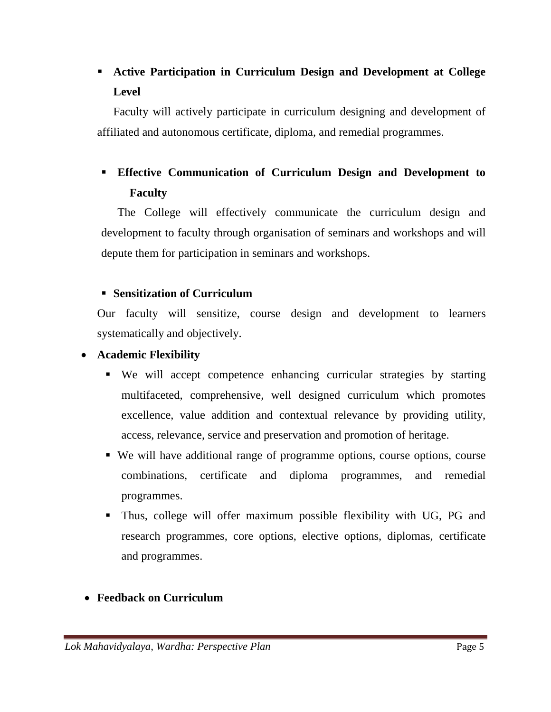### **Active Participation in Curriculum Design and Development at College Level**

Faculty will actively participate in curriculum designing and development of affiliated and autonomous certificate, diploma, and remedial programmes.

### **Effective Communication of Curriculum Design and Development to Faculty**

The College will effectively communicate the curriculum design and development to faculty through organisation of seminars and workshops and will depute them for participation in seminars and workshops.

#### **Sensitization of Curriculum**

Our faculty will sensitize, course design and development to learners systematically and objectively.

#### **Academic Flexibility**

- We will accept competence enhancing curricular strategies by starting multifaceted, comprehensive, well designed curriculum which promotes excellence, value addition and contextual relevance by providing utility, access, relevance, service and preservation and promotion of heritage.
- We will have additional range of programme options, course options, course combinations, certificate and diploma programmes, and remedial programmes.
- Thus, college will offer maximum possible flexibility with UG, PG and research programmes, core options, elective options, diplomas, certificate and programmes.

#### **Feedback on Curriculum**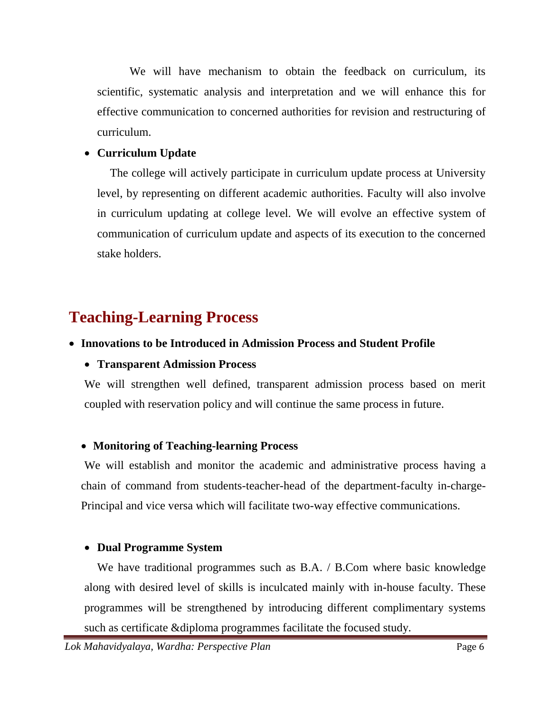We will have mechanism to obtain the feedback on curriculum, its scientific, systematic analysis and interpretation and we will enhance this for effective communication to concerned authorities for revision and restructuring of curriculum.

#### **Curriculum Update**

The college will actively participate in curriculum update process at University level, by representing on different academic authorities. Faculty will also involve in curriculum updating at college level. We will evolve an effective system of communication of curriculum update and aspects of its execution to the concerned stake holders.

# **Teaching-Learning Process**

#### **Innovations to be Introduced in Admission Process and Student Profile**

#### **Transparent Admission Process**

We will strengthen well defined, transparent admission process based on merit coupled with reservation policy and will continue the same process in future.

#### **Monitoring of Teaching-learning Process**

We will establish and monitor the academic and administrative process having a chain of command from students-teacher-head of the department-faculty in-charge-Principal and vice versa which will facilitate two-way effective communications.

#### **Dual Programme System**

We have traditional programmes such as B.A. / B.Com where basic knowledge along with desired level of skills is inculcated mainly with in-house faculty. These programmes will be strengthened by introducing different complimentary systems such as certificate &diploma programmes facilitate the focused study.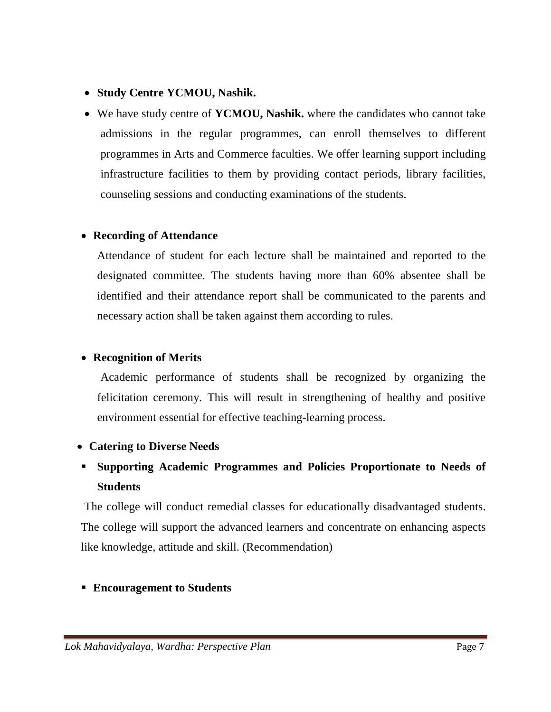- **Study Centre YCMOU, Nashik.**
- We have study centre of **YCMOU, Nashik.** where the candidates who cannot take admissions in the regular programmes, can enroll themselves to different programmes in Arts and Commerce faculties. We offer learning support including infrastructure facilities to them by providing contact periods, library facilities, counseling sessions and conducting examinations of the students.

#### **Recording of Attendance**

Attendance of student for each lecture shall be maintained and reported to the designated committee. The students having more than 60% absentee shall be identified and their attendance report shall be communicated to the parents and necessary action shall be taken against them according to rules.

#### **Recognition of Merits**

Academic performance of students shall be recognized by organizing the felicitation ceremony. This will result in strengthening of healthy and positive environment essential for effective teaching-learning process.

#### **Catering to Diverse Needs**

### **Supporting Academic Programmes and Policies Proportionate to Needs of Students**

The college will conduct remedial classes for educationally disadvantaged students. The college will support the advanced learners and concentrate on enhancing aspects like knowledge, attitude and skill. (Recommendation)

#### **Encouragement to Students**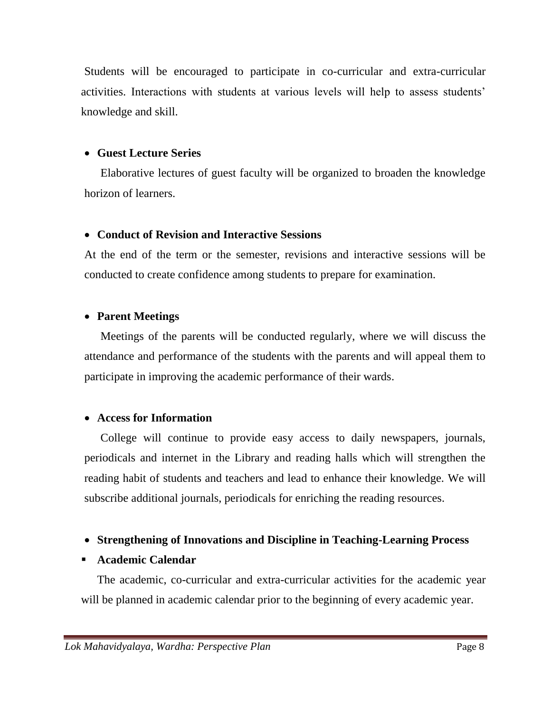Students will be encouraged to participate in co-curricular and extra-curricular activities. Interactions with students at various levels will help to assess students' knowledge and skill.

#### **Guest Lecture Series**

Elaborative lectures of guest faculty will be organized to broaden the knowledge horizon of learners.

#### **Conduct of Revision and Interactive Sessions**

At the end of the term or the semester, revisions and interactive sessions will be conducted to create confidence among students to prepare for examination.

#### **Parent Meetings**

Meetings of the parents will be conducted regularly, where we will discuss the attendance and performance of the students with the parents and will appeal them to participate in improving the academic performance of their wards.

#### **Access for Information**

College will continue to provide easy access to daily newspapers, journals, periodicals and internet in the Library and reading halls which will strengthen the reading habit of students and teachers and lead to enhance their knowledge. We will subscribe additional journals, periodicals for enriching the reading resources.

#### **Strengthening of Innovations and Discipline in Teaching-Learning Process**

#### **Academic Calendar**

The academic, co-curricular and extra-curricular activities for the academic year will be planned in academic calendar prior to the beginning of every academic year.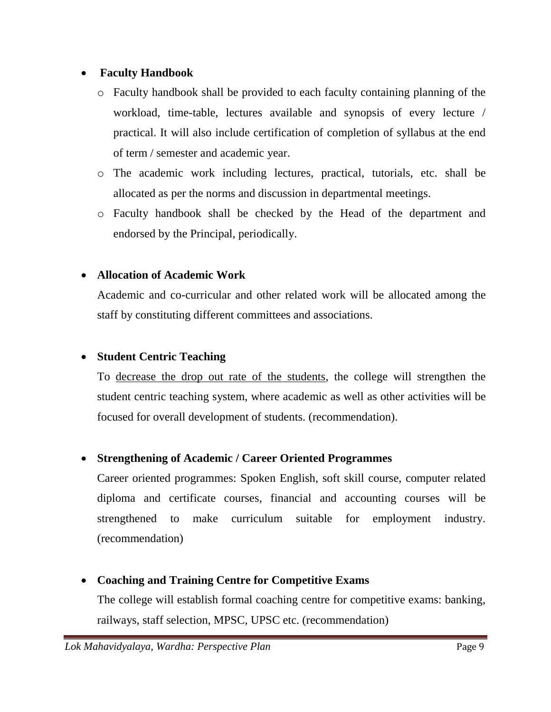#### **Faculty Handbook**

- o Faculty handbook shall be provided to each faculty containing planning of the workload, time-table, lectures available and synopsis of every lecture / practical. It will also include certification of completion of syllabus at the end of term / semester and academic year.
- o The academic work including lectures, practical, tutorials, etc. shall be allocated as per the norms and discussion in departmental meetings.
- o Faculty handbook shall be checked by the Head of the department and endorsed by the Principal, periodically.

#### **Allocation of Academic Work**

Academic and co-curricular and other related work will be allocated among the staff by constituting different committees and associations.

#### **Student Centric Teaching**

To decrease the drop out rate of the students, the college will strengthen the student centric teaching system, where academic as well as other activities will be focused for overall development of students. (recommendation).

#### **Strengthening of Academic / Career Oriented Programmes**

Career oriented programmes: Spoken English, soft skill course, computer related diploma and certificate courses, financial and accounting courses will be strengthened to make curriculum suitable for employment industry. (recommendation)

#### **Coaching and Training Centre for Competitive Exams**

The college will establish formal coaching centre for competitive exams: banking, railways, staff selection, MPSC, UPSC etc. (recommendation)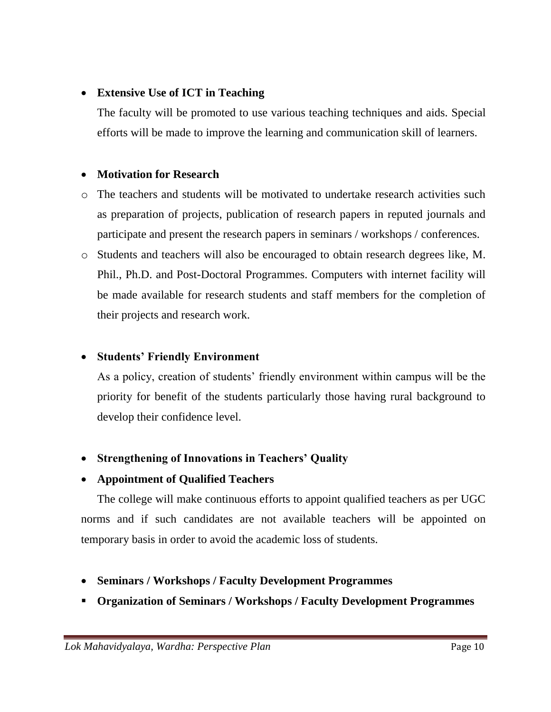#### **Extensive Use of ICT in Teaching**

The faculty will be promoted to use various teaching techniques and aids. Special efforts will be made to improve the learning and communication skill of learners.

#### **Motivation for Research**

- o The teachers and students will be motivated to undertake research activities such as preparation of projects, publication of research papers in reputed journals and participate and present the research papers in seminars / workshops / conferences.
- o Students and teachers will also be encouraged to obtain research degrees like, M. Phil., Ph.D. and Post-Doctoral Programmes. Computers with internet facility will be made available for research students and staff members for the completion of their projects and research work.

#### **Students' Friendly Environment**

As a policy, creation of students' friendly environment within campus will be the priority for benefit of the students particularly those having rural background to develop their confidence level.

- **Strengthening of Innovations in Teachers' Quality**
- **Appointment of Qualified Teachers**

The college will make continuous efforts to appoint qualified teachers as per UGC norms and if such candidates are not available teachers will be appointed on temporary basis in order to avoid the academic loss of students.

- **Seminars / Workshops / Faculty Development Programmes**
- **Organization of Seminars / Workshops / Faculty Development Programmes**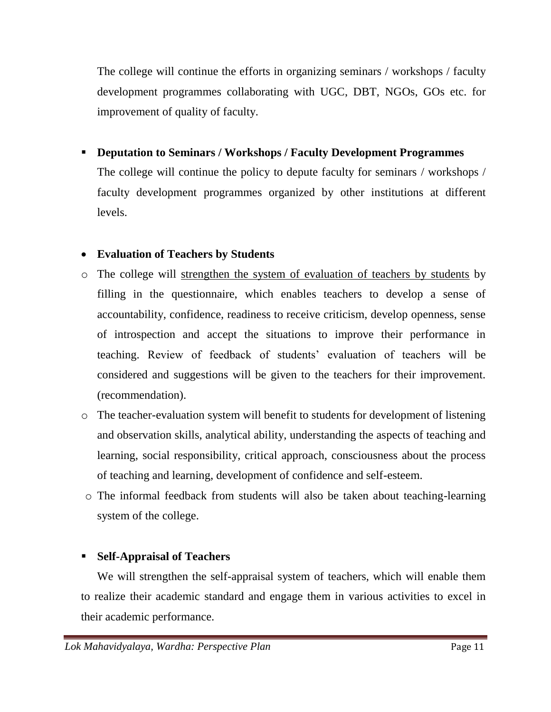The college will continue the efforts in organizing seminars / workshops / faculty development programmes collaborating with UGC, DBT, NGOs, GOs etc. for improvement of quality of faculty.

**Deputation to Seminars / Workshops / Faculty Development Programmes**

The college will continue the policy to depute faculty for seminars / workshops / faculty development programmes organized by other institutions at different levels.

#### **Evaluation of Teachers by Students**

- o The college will strengthen the system of evaluation of teachers by students by filling in the questionnaire, which enables teachers to develop a sense of accountability, confidence, readiness to receive criticism, develop openness, sense of introspection and accept the situations to improve their performance in teaching. Review of feedback of students' evaluation of teachers will be considered and suggestions will be given to the teachers for their improvement. (recommendation).
- o The teacher-evaluation system will benefit to students for development of listening and observation skills, analytical ability, understanding the aspects of teaching and learning, social responsibility, critical approach, consciousness about the process of teaching and learning, development of confidence and self-esteem.
- o The informal feedback from students will also be taken about teaching-learning system of the college.

#### **Self-Appraisal of Teachers**

We will strengthen the self-appraisal system of teachers, which will enable them to realize their academic standard and engage them in various activities to excel in their academic performance.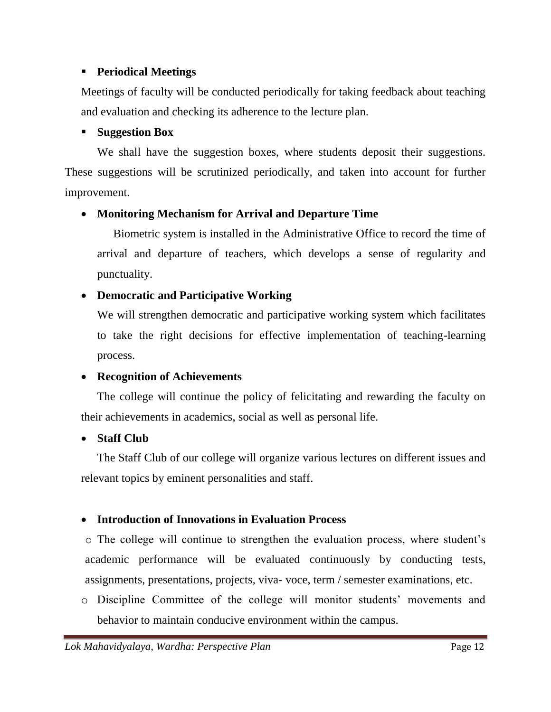#### **Periodical Meetings**

Meetings of faculty will be conducted periodically for taking feedback about teaching and evaluation and checking its adherence to the lecture plan.

#### **Suggestion Box**

We shall have the suggestion boxes, where students deposit their suggestions. These suggestions will be scrutinized periodically, and taken into account for further improvement.

#### **Monitoring Mechanism for Arrival and Departure Time**

Biometric system is installed in the Administrative Office to record the time of arrival and departure of teachers, which develops a sense of regularity and punctuality.

#### **Democratic and Participative Working**

We will strengthen democratic and participative working system which facilitates to take the right decisions for effective implementation of teaching-learning process.

#### **Recognition of Achievements**

The college will continue the policy of felicitating and rewarding the faculty on their achievements in academics, social as well as personal life.

#### **Staff Club**

The Staff Club of our college will organize various lectures on different issues and relevant topics by eminent personalities and staff.

#### **Introduction of Innovations in Evaluation Process**

o The college will continue to strengthen the evaluation process, where student's academic performance will be evaluated continuously by conducting tests, assignments, presentations, projects, viva- voce, term / semester examinations, etc.

o Discipline Committee of the college will monitor students' movements and behavior to maintain conducive environment within the campus.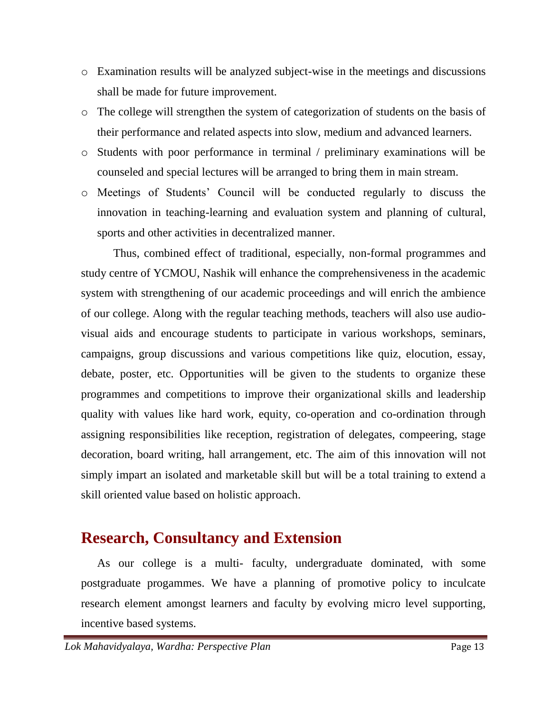- o Examination results will be analyzed subject-wise in the meetings and discussions shall be made for future improvement.
- o The college will strengthen the system of categorization of students on the basis of their performance and related aspects into slow, medium and advanced learners.
- o Students with poor performance in terminal / preliminary examinations will be counseled and special lectures will be arranged to bring them in main stream.
- o Meetings of Students' Council will be conducted regularly to discuss the innovation in teaching-learning and evaluation system and planning of cultural, sports and other activities in decentralized manner.

Thus, combined effect of traditional, especially, non-formal programmes and study centre of YCMOU, Nashik will enhance the comprehensiveness in the academic system with strengthening of our academic proceedings and will enrich the ambience of our college. Along with the regular teaching methods, teachers will also use audiovisual aids and encourage students to participate in various workshops, seminars, campaigns, group discussions and various competitions like quiz, elocution, essay, debate, poster, etc. Opportunities will be given to the students to organize these programmes and competitions to improve their organizational skills and leadership quality with values like hard work, equity, co-operation and co-ordination through assigning responsibilities like reception, registration of delegates, compeering, stage decoration, board writing, hall arrangement, etc. The aim of this innovation will not simply impart an isolated and marketable skill but will be a total training to extend a skill oriented value based on holistic approach.

### **Research, Consultancy and Extension**

As our college is a multi- faculty, undergraduate dominated, with some postgraduate progammes. We have a planning of promotive policy to inculcate research element amongst learners and faculty by evolving micro level supporting, incentive based systems.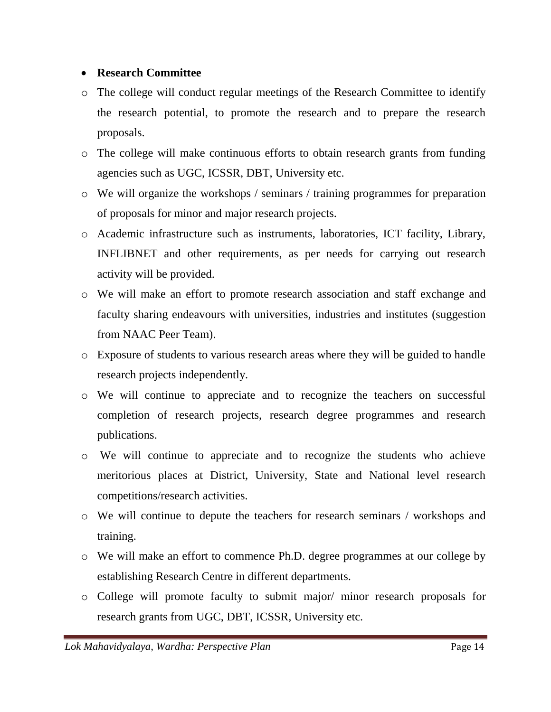#### **Research Committee**

- o The college will conduct regular meetings of the Research Committee to identify the research potential, to promote the research and to prepare the research proposals.
- o The college will make continuous efforts to obtain research grants from funding agencies such as UGC, ICSSR, DBT, University etc.
- o We will organize the workshops / seminars / training programmes for preparation of proposals for minor and major research projects.
- o Academic infrastructure such as instruments, laboratories, ICT facility, Library, INFLIBNET and other requirements, as per needs for carrying out research activity will be provided.
- o We will make an effort to promote research association and staff exchange and faculty sharing endeavours with universities, industries and institutes (suggestion from NAAC Peer Team).
- o Exposure of students to various research areas where they will be guided to handle research projects independently.
- o We will continue to appreciate and to recognize the teachers on successful completion of research projects, research degree programmes and research publications.
- o We will continue to appreciate and to recognize the students who achieve meritorious places at District, University, State and National level research competitions/research activities.
- o We will continue to depute the teachers for research seminars / workshops and training.
- o We will make an effort to commence Ph.D. degree programmes at our college by establishing Research Centre in different departments.
- o College will promote faculty to submit major/ minor research proposals for research grants from UGC, DBT, ICSSR, University etc.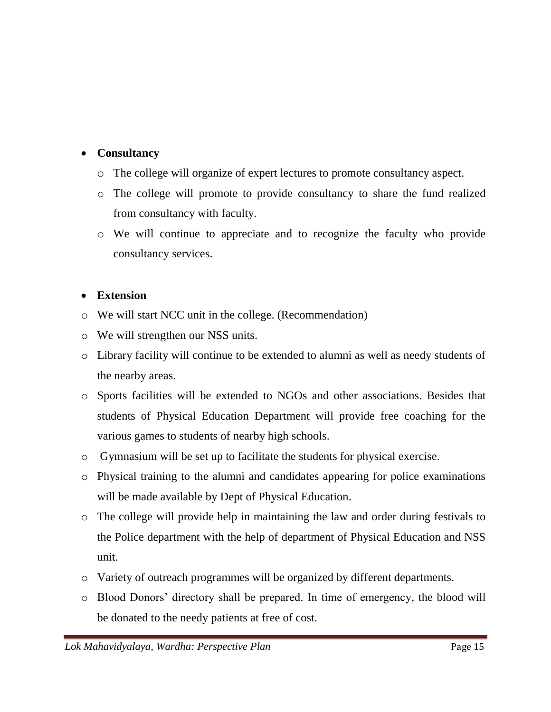#### **Consultancy**

- o The college will organize of expert lectures to promote consultancy aspect.
- o The college will promote to provide consultancy to share the fund realized from consultancy with faculty.
- o We will continue to appreciate and to recognize the faculty who provide consultancy services.

#### **Extension**

- o We will start NCC unit in the college. (Recommendation)
- o We will strengthen our NSS units.
- o Library facility will continue to be extended to alumni as well as needy students of the nearby areas.
- o Sports facilities will be extended to NGOs and other associations. Besides that students of Physical Education Department will provide free coaching for the various games to students of nearby high schools.
- o Gymnasium will be set up to facilitate the students for physical exercise.
- o Physical training to the alumni and candidates appearing for police examinations will be made available by Dept of Physical Education.
- o The college will provide help in maintaining the law and order during festivals to the Police department with the help of department of Physical Education and NSS unit.
- o Variety of outreach programmes will be organized by different departments.
- o Blood Donors' directory shall be prepared. In time of emergency, the blood will be donated to the needy patients at free of cost.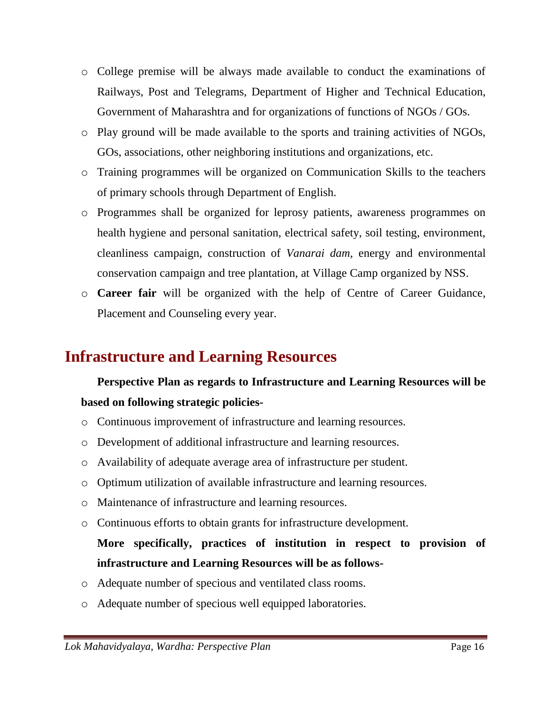- o College premise will be always made available to conduct the examinations of Railways, Post and Telegrams, Department of Higher and Technical Education, Government of Maharashtra and for organizations of functions of NGOs / GOs.
- o Play ground will be made available to the sports and training activities of NGOs, GOs, associations, other neighboring institutions and organizations, etc.
- o Training programmes will be organized on Communication Skills to the teachers of primary schools through Department of English.
- o Programmes shall be organized for leprosy patients, awareness programmes on health hygiene and personal sanitation, electrical safety, soil testing, environment, cleanliness campaign, construction of *Vanarai dam*, energy and environmental conservation campaign and tree plantation, at Village Camp organized by NSS.
- o **Career fair** will be organized with the help of Centre of Career Guidance, Placement and Counseling every year.

### **Infrastructure and Learning Resources**

### **Perspective Plan as regards to Infrastructure and Learning Resources will be based on following strategic policies-**

- o Continuous improvement of infrastructure and learning resources.
- o Development of additional infrastructure and learning resources.
- o Availability of adequate average area of infrastructure per student.
- o Optimum utilization of available infrastructure and learning resources.
- o Maintenance of infrastructure and learning resources.
- o Continuous efforts to obtain grants for infrastructure development.

### **More specifically, practices of institution in respect to provision of infrastructure and Learning Resources will be as follows-**

- o Adequate number of specious and ventilated class rooms.
- o Adequate number of specious well equipped laboratories.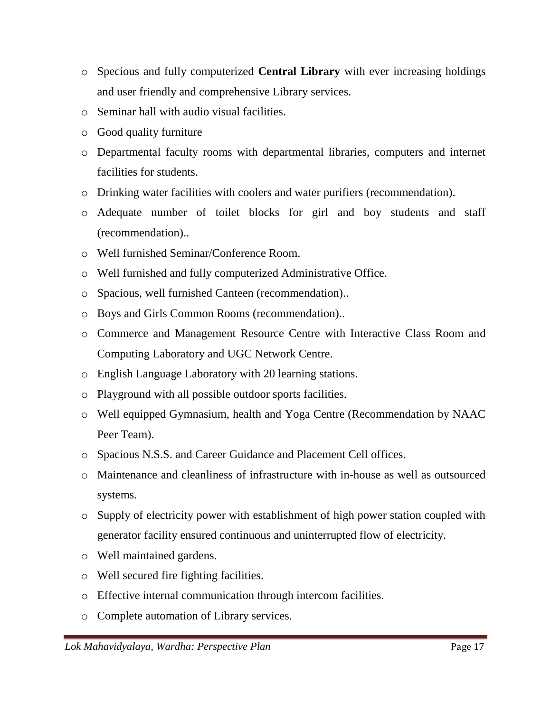- o Specious and fully computerized **Central Library** with ever increasing holdings and user friendly and comprehensive Library services.
- o Seminar hall with audio visual facilities.
- o Good quality furniture
- o Departmental faculty rooms with departmental libraries, computers and internet facilities for students.
- o Drinking water facilities with coolers and water purifiers (recommendation).
- o Adequate number of toilet blocks for girl and boy students and staff (recommendation)..
- o Well furnished Seminar/Conference Room.
- o Well furnished and fully computerized Administrative Office.
- o Spacious, well furnished Canteen (recommendation)..
- o Boys and Girls Common Rooms (recommendation)..
- o Commerce and Management Resource Centre with Interactive Class Room and Computing Laboratory and UGC Network Centre.
- o English Language Laboratory with 20 learning stations.
- o Playground with all possible outdoor sports facilities.
- o Well equipped Gymnasium, health and Yoga Centre (Recommendation by NAAC Peer Team).
- o Spacious N.S.S. and Career Guidance and Placement Cell offices.
- o Maintenance and cleanliness of infrastructure with in-house as well as outsourced systems.
- o Supply of electricity power with establishment of high power station coupled with generator facility ensured continuous and uninterrupted flow of electricity.
- o Well maintained gardens.
- o Well secured fire fighting facilities.
- o Effective internal communication through intercom facilities.
- o Complete automation of Library services.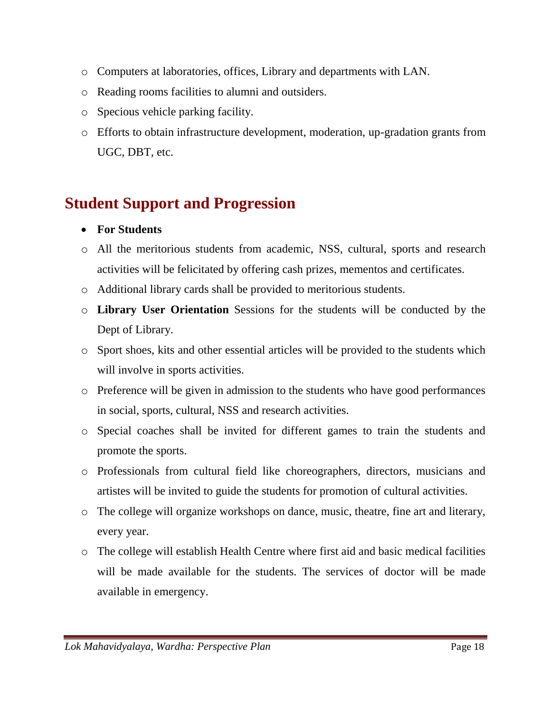- o Computers at laboratories, offices, Library and departments with LAN.
- o Reading rooms facilities to alumni and outsiders.
- o Specious vehicle parking facility.
- o Efforts to obtain infrastructure development, moderation, up-gradation grants from UGC, DBT, etc.

# **Student Support and Progression**

- **For Students**
- o All the meritorious students from academic, NSS, cultural, sports and research activities will be felicitated by offering cash prizes, mementos and certificates.
- o Additional library cards shall be provided to meritorious students.
- o **Library User Orientation** Sessions for the students will be conducted by the Dept of Library.
- o Sport shoes, kits and other essential articles will be provided to the students which will involve in sports activities.
- o Preference will be given in admission to the students who have good performances in social, sports, cultural, NSS and research activities.
- o Special coaches shall be invited for different games to train the students and promote the sports.
- o Professionals from cultural field like choreographers, directors, musicians and artistes will be invited to guide the students for promotion of cultural activities.
- o The college will organize workshops on dance, music, theatre, fine art and literary, every year.
- o The college will establish Health Centre where first aid and basic medical facilities will be made available for the students. The services of doctor will be made available in emergency.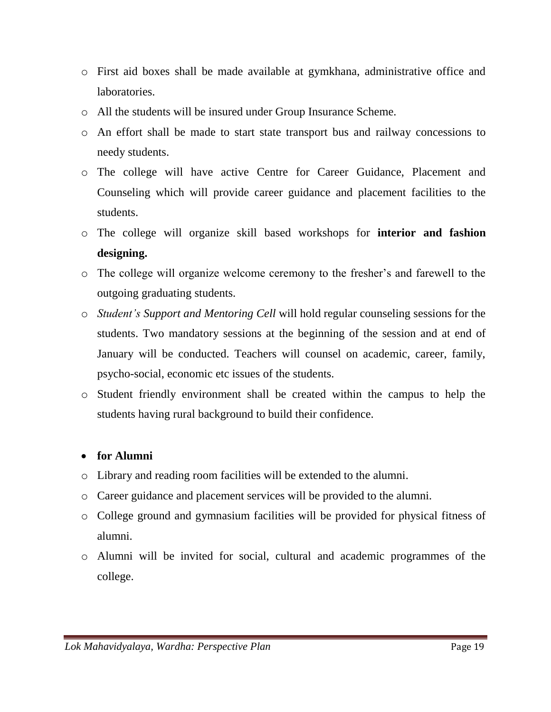- o First aid boxes shall be made available at gymkhana, administrative office and laboratories.
- o All the students will be insured under Group Insurance Scheme.
- o An effort shall be made to start state transport bus and railway concessions to needy students.
- o The college will have active Centre for Career Guidance, Placement and Counseling which will provide career guidance and placement facilities to the students.
- o The college will organize skill based workshops for **interior and fashion designing.**
- o The college will organize welcome ceremony to the fresher's and farewell to the outgoing graduating students.
- o *Student's Support and Mentoring Cell* will hold regular counseling sessions for the students. Two mandatory sessions at the beginning of the session and at end of January will be conducted. Teachers will counsel on academic, career, family, psycho-social, economic etc issues of the students.
- o Student friendly environment shall be created within the campus to help the students having rural background to build their confidence.

#### **for Alumni**

- o Library and reading room facilities will be extended to the alumni.
- o Career guidance and placement services will be provided to the alumni.
- o College ground and gymnasium facilities will be provided for physical fitness of alumni.
- o Alumni will be invited for social, cultural and academic programmes of the college.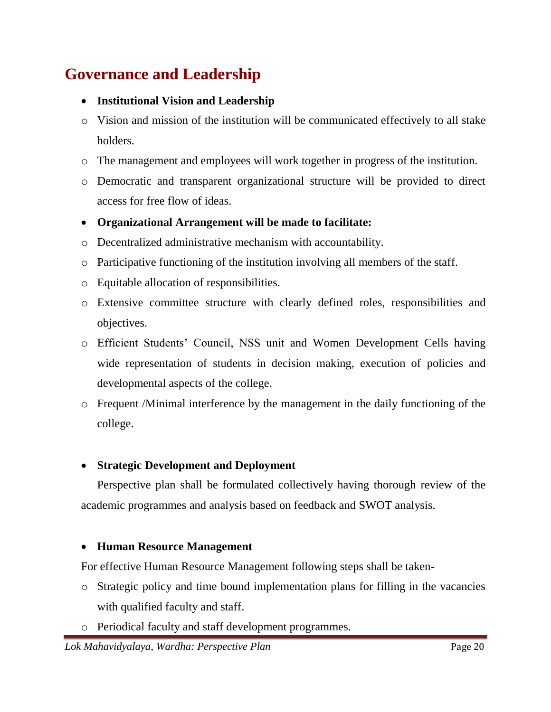# **Governance and Leadership**

- **Institutional Vision and Leadership**
- o Vision and mission of the institution will be communicated effectively to all stake holders.
- o The management and employees will work together in progress of the institution.
- o Democratic and transparent organizational structure will be provided to direct access for free flow of ideas.
- **Organizational Arrangement will be made to facilitate:**
- o Decentralized administrative mechanism with accountability.
- o Participative functioning of the institution involving all members of the staff.
- o Equitable allocation of responsibilities.
- o Extensive committee structure with clearly defined roles, responsibilities and objectives.
- o Efficient Students' Council, NSS unit and Women Development Cells having wide representation of students in decision making, execution of policies and developmental aspects of the college.
- o Frequent /Minimal interference by the management in the daily functioning of the college.

#### **Strategic Development and Deployment**

Perspective plan shall be formulated collectively having thorough review of the academic programmes and analysis based on feedback and SWOT analysis.

#### **Human Resource Management**

For effective Human Resource Management following steps shall be taken-

- o Strategic policy and time bound implementation plans for filling in the vacancies with qualified faculty and staff.
- o Periodical faculty and staff development programmes.